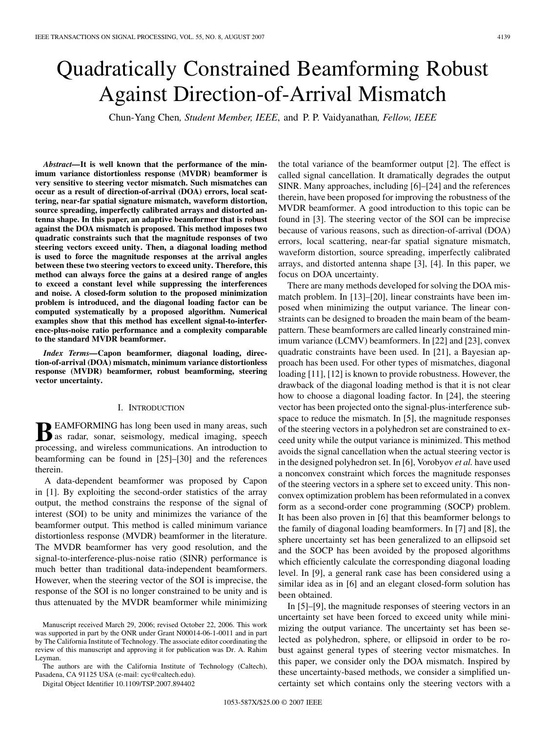# Quadratically Constrained Beamforming Robust Against Direction-of-Arrival Mismatch

Chun-Yang Chen*, Student Member, IEEE*, and P. P. Vaidyanathan*, Fellow, IEEE*

*Abstract—***It is well known that the performance of the minimum variance distortionless response (MVDR) beamformer is very sensitive to steering vector mismatch. Such mismatches can occur as a result of direction-of-arrival (DOA) errors, local scattering, near-far spatial signature mismatch, waveform distortion, source spreading, imperfectly calibrated arrays and distorted antenna shape. In this paper, an adaptive beamformer that is robust against the DOA mismatch is proposed. This method imposes two quadratic constraints such that the magnitude responses of two steering vectors exceed unity. Then, a diagonal loading method is used to force the magnitude responses at the arrival angles between these two steering vectors to exceed unity. Therefore, this method can always force the gains at a desired range of angles to exceed a constant level while suppressing the interferences and noise. A closed-form solution to the proposed minimization problem is introduced, and the diagonal loading factor can be computed systematically by a proposed algorithm. Numerical examples show that this method has excellent signal-to-interference-plus-noise ratio performance and a complexity comparable to the standard MVDR beamformer.**

*Index Terms—***Capon beamformer, diagonal loading, direction-of-arrival (DOA) mismatch, minimum variance distortionless response (MVDR) beamformer, robust beamforming, steering vector uncertainty.**

## I. INTRODUCTION

**BEAMFORMING** has long been used in many areas, such as radar, sonar, seismology, medical imaging, speech processing, and wireless communications. An introduction to beamforming can be found in [25]–[30] and the references therein.

A data-dependent beamformer was proposed by Capon in [1]. By exploiting the second-order statistics of the array output, the method constrains the response of the signal of interest (SOI) to be unity and minimizes the variance of the beamformer output. This method is called minimum variance distortionless response (MVDR) beamformer in the literature. The MVDR beamformer has very good resolution, and the signal-to-interference-plus-noise ratio (SINR) performance is much better than traditional data-independent beamformers. However, when the steering vector of the SOI is imprecise, the response of the SOI is no longer constrained to be unity and is thus attenuated by the MVDR beamformer while minimizing

The authors are with the California Institute of Technology (Caltech), Pasadena, CA 91125 USA (e-mail: cyc@caltech.edu).

Digital Object Identifier 10.1109/TSP.2007.894402

the total variance of the beamformer output [2]. The effect is called signal cancellation. It dramatically degrades the output SINR. Many approaches, including [6]–[24] and the references therein, have been proposed for improving the robustness of the MVDR beamformer. A good introduction to this topic can be found in [3]. The steering vector of the SOI can be imprecise because of various reasons, such as direction-of-arrival (DOA) errors, local scattering, near-far spatial signature mismatch, waveform distortion, source spreading, imperfectly calibrated arrays, and distorted antenna shape [3], [4]. In this paper, we focus on DOA uncertainty.

There are many methods developed for solving the DOA mismatch problem. In [13]–[20], linear constraints have been imposed when minimizing the output variance. The linear constraints can be designed to broaden the main beam of the beampattern. These beamformers are called linearly constrained minimum variance (LCMV) beamformers. In [22] and [23], convex quadratic constraints have been used. In [21], a Bayesian approach has been used. For other types of mismatches, diagonal loading [11], [12] is known to provide robustness. However, the drawback of the diagonal loading method is that it is not clear how to choose a diagonal loading factor. In [24], the steering vector has been projected onto the signal-plus-interference subspace to reduce the mismatch. In [5], the magnitude responses of the steering vectors in a polyhedron set are constrained to exceed unity while the output variance is minimized. This method avoids the signal cancellation when the actual steering vector is in the designed polyhedron set. In [6], Vorobyov *et al.* have used a nonconvex constraint which forces the magnitude responses of the steering vectors in a sphere set to exceed unity. This nonconvex optimization problem has been reformulated in a convex form as a second-order cone programming (SOCP) problem. It has been also proven in [6] that this beamformer belongs to the family of diagonal loading beamformers. In [7] and [8], the sphere uncertainty set has been generalized to an ellipsoid set and the SOCP has been avoided by the proposed algorithms which efficiently calculate the corresponding diagonal loading level. In [9], a general rank case has been considered using a similar idea as in [6] and an elegant closed-form solution has been obtained.

In [5]–[9], the magnitude responses of steering vectors in an uncertainty set have been forced to exceed unity while minimizing the output variance. The uncertainty set has been selected as polyhedron, sphere, or ellipsoid in order to be robust against general types of steering vector mismatches. In this paper, we consider only the DOA mismatch. Inspired by these uncertainty-based methods, we consider a simplified uncertainty set which contains only the steering vectors with a

Manuscript received March 29, 2006; revised October 22, 2006. This work was supported in part by the ONR under Grant N00014-06-1-0011 and in part by The California Institute of Technology. The associate editor coordinating the review of this manuscript and approving it for publication was Dr. A. Rahim Leyman.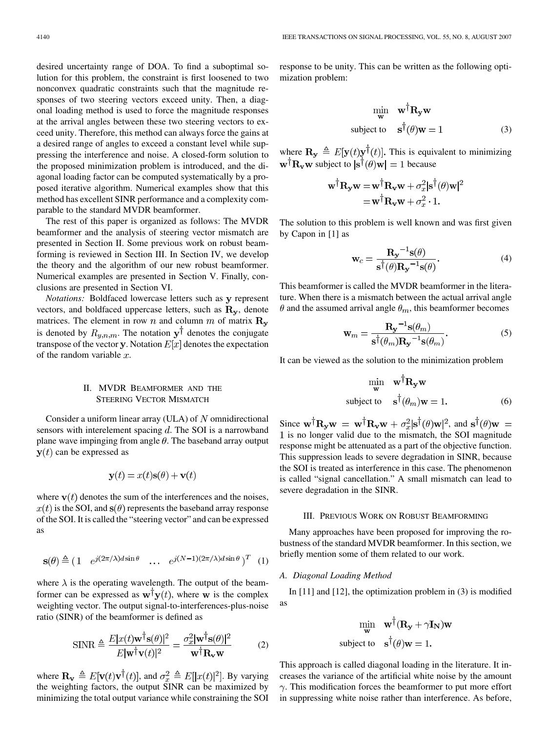desired uncertainty range of DOA. To find a suboptimal solution for this problem, the constraint is first loosened to two nonconvex quadratic constraints such that the magnitude responses of two steering vectors exceed unity. Then, a diagonal loading method is used to force the magnitude responses at the arrival angles between these two steering vectors to exceed unity. Therefore, this method can always force the gains at a desired range of angles to exceed a constant level while suppressing the interference and noise. A closed-form solution to the proposed minimization problem is introduced, and the diagonal loading factor can be computed systematically by a proposed iterative algorithm. Numerical examples show that this method has excellent SINR performance and a complexity comparable to the standard MVDR beamformer.

The rest of this paper is organized as follows: The MVDR beamformer and the analysis of steering vector mismatch are presented in Section II. Some previous work on robust beamforming is reviewed in Section III. In Section IV, we develop the theory and the algorithm of our new robust beamformer. Numerical examples are presented in Section V. Finally, conclusions are presented in Section VI.

*Notations:* Boldfaced lowercase letters such as y represent vectors, and boldfaced uppercase letters, such as  $\mathbf{R}_{y}$ , denote matrices. The element in row n and column m of matrix  $\mathbf{R}_{v}$ is denoted by  $R_{y,n,m}$ . The notation  $y^{\dagger}$  denotes the conjugate transpose of the vector y. Notation  $E[x]$  denotes the expectation of the random variable  $x$ .

## II. MVDR BEAMFORMER AND THE STEERING VECTOR MISMATCH

Consider a uniform linear array (ULA) of  $N$  omnidirectional sensors with interelement spacing  $d$ . The SOI is a narrowband plane wave impinging from angle  $\theta$ . The baseband array output  $y(t)$  can be expressed as

$$
\mathbf{y}(t) = x(t)\mathbf{s}(\theta) + \mathbf{v}(t)
$$

where  $\mathbf{v}(t)$  denotes the sum of the interferences and the noises,  $x(t)$  is the SOI, and  $s(\theta)$  represents the baseband array response of the SOI. It is called the "steering vector" and can be expressed as

$$
\mathbf{s}(\theta) \stackrel{\Delta}{=} \begin{pmatrix} 1 & e^{j(2\pi/\lambda)d\sin\theta} & \cdots & e^{j(N-1)(2\pi/\lambda)d\sin\theta} \end{pmatrix}^T \tag{1}
$$

where  $\lambda$  is the operating wavelength. The output of the beamformer can be expressed as  $\mathbf{w}^{\dagger} \mathbf{y}(t)$ , where w is the complex weighting vector. The output signal-to-interferences-plus-noise ratio (SINR) of the beamformer is defined as

$$
\text{SINR} \triangleq \frac{E|x(t)\mathbf{w}^{\dagger}\mathbf{s}(\theta)|^2}{E|\mathbf{w}^{\dagger}\mathbf{v}(t)|^2} = \frac{\sigma_x^2|\mathbf{w}^{\dagger}\mathbf{s}(\theta)|^2}{\mathbf{w}^{\dagger}\mathbf{R}_{\mathbf{v}}\mathbf{w}} \tag{2}
$$

where  $\mathbf{R}_{\mathbf{v}} \triangleq E[\mathbf{v}(t)\mathbf{v}^{\dagger}(t)]$ , and  $\sigma_x^2 \triangleq E[|x(t)|^2]$ . By varying the weighting factors, the output SINR can be maximized by minimizing the total output variance while constraining the SOI

response to be unity. This can be written as the following optimization problem:

$$
\begin{array}{ll}\n\text{min} & \mathbf{w}^{\dagger} \mathbf{R}_{\mathbf{y}} \mathbf{w} \\
\text{subject to} & \mathbf{s}^{\dagger}(\theta) \mathbf{w} = 1\n\end{array} \tag{3}
$$

where  $\mathbf{R}_{\mathbf{y}} \triangleq E[\mathbf{y}(t)\mathbf{y}^{\dagger}(t)]$ . This is equivalent to minimizing  $\mathbf{w}^{\dagger} \mathbf{R}_{\mathbf{v}} \mathbf{w}$  subject to  $|\mathbf{s}^{\dagger}(\theta) \mathbf{w}| = 1$  because

$$
\mathbf{w}^{\dagger} \mathbf{R}_{\mathbf{y}} \mathbf{w} = \mathbf{w}^{\dagger} \mathbf{R}_{\mathbf{v}} \mathbf{w} + \sigma_x^2 |\mathbf{s}^{\dagger}(\theta) \mathbf{w}|^2
$$

$$
= \mathbf{w}^{\dagger} \mathbf{R}_{\mathbf{v}} \mathbf{w} + \sigma_x^2 \cdot 1.
$$

The solution to this problem is well known and was first given by Capon in [1] as

$$
\mathbf{w}_c = \frac{\mathbf{R_y}^{-1}\mathbf{s}(\theta)}{\mathbf{s}^{\dagger}(\theta)\mathbf{R_y}^{-1}\mathbf{s}(\theta)}.
$$
 (4)

This beamformer is called the MVDR beamformer in the literature. When there is a mismatch between the actual arrival angle  $\theta$  and the assumed arrival angle  $\theta_m$ , this beamformer becomes

$$
\mathbf{w}_m = \frac{\mathbf{R_y}^{-1} \mathbf{s}(\theta_m)}{\mathbf{s}^\dagger(\theta_m) \mathbf{R_y}^{-1} \mathbf{s}(\theta_m)}.
$$
 (5)

It can be viewed as the solution to the minimization problem

$$
\begin{aligned}\n\min_{\mathbf{w}} \quad & \mathbf{w}^{\dagger} \mathbf{R}_{\mathbf{y}} \mathbf{w} \\
\text{subject to} \quad & \mathbf{s}^{\dagger} (\theta_m) \mathbf{w} = 1.\n\end{aligned} \tag{6}
$$

Since  $\mathbf{w}^\dagger \mathbf{R}_v \mathbf{w} = \mathbf{w}^\dagger \mathbf{R}_v \mathbf{w} + \sigma_x^2 |\mathbf{s}^\dagger(\theta) \mathbf{w}|^2$ , and  $\mathbf{s}^\dagger(\theta) \mathbf{w} =$ is no longer valid due to the mismatch, the SOI magnitude response might be attenuated as a part of the objective function. This suppression leads to severe degradation in SINR, because the SOI is treated as interference in this case. The phenomenon is called "signal cancellation." A small mismatch can lead to severe degradation in the SINR.

#### III. PREVIOUS WORK ON ROBUST BEAMFORMING

Many approaches have been proposed for improving the robustness of the standard MVDR beamformer. In this section, we briefly mention some of them related to our work.

#### *A. Diagonal Loading Method*

In [11] and [12], the optimization problem in (3) is modified as

$$
\begin{aligned}\n\min_{\mathbf{w}} \quad & \mathbf{w}^{\dagger} (\mathbf{R}_{\mathbf{y}} + \gamma \mathbf{I}_{\mathbf{N}}) \mathbf{w} \\
\text{subject to} \quad & \mathbf{s}^{\dagger}(\theta) \mathbf{w} = 1.\n\end{aligned}
$$

This approach is called diagonal loading in the literature. It increases the variance of the artificial white noise by the amount  $\gamma$ . This modification forces the beamformer to put more effort in suppressing white noise rather than interference. As before,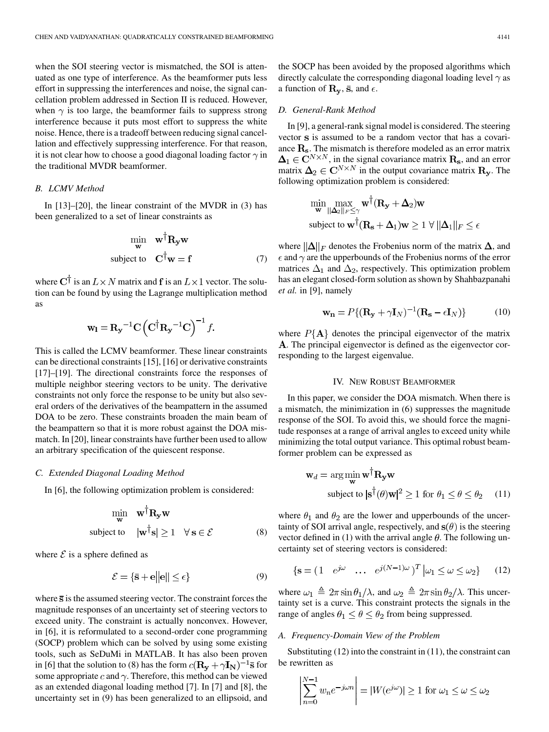when the SOI steering vector is mismatched, the SOI is attenuated as one type of interference. As the beamformer puts less effort in suppressing the interferences and noise, the signal cancellation problem addressed in Section II is reduced. However, when  $\gamma$  is too large, the beamformer fails to suppress strong interference because it puts most effort to suppress the white noise. Hence, there is a tradeoff between reducing signal cancellation and effectively suppressing interference. For that reason, it is not clear how to choose a good diagonal loading factor  $\gamma$  in the traditional MVDR beamformer.

## *B. LCMV Method*

In [13]–[20], the linear constraint of the MVDR in (3) has been generalized to a set of linear constraints as

$$
\begin{array}{cc}\n\min_{\mathbf{w}} & \mathbf{w}^{\dagger} \mathbf{R}_{\mathbf{y}} \mathbf{w} \\
\text{subject to} & \mathbf{C}^{\dagger} \mathbf{w} = \mathbf{f}\n\end{array} (7)
$$

where  $C^{\dagger}$  is an  $L \times N$  matrix and f is an  $L \times 1$  vector. The solution can be found by using the Lagrange multiplication method as

$$
\mathbf{w}_l = \mathbf{R}_{\mathbf{y}}^{-1} \mathbf{C} \left( \mathbf{C}^\dagger \mathbf{R}_{\mathbf{y}}^{-1} \mathbf{C} \right)^{-1} f.
$$

This is called the LCMV beamformer. These linear constraints can be directional constraints [15], [16] or derivative constraints [17]–[19]. The directional constraints force the responses of multiple neighbor steering vectors to be unity. The derivative constraints not only force the response to be unity but also several orders of the derivatives of the beampattern in the assumed DOA to be zero. These constraints broaden the main beam of the beampattern so that it is more robust against the DOA mismatch. In [20], linear constraints have further been used to allow an arbitrary specification of the quiescent response.

## *C. Extended Diagonal Loading Method*

In [6], the following optimization problem is considered:

$$
\min_{\mathbf{w}} \quad \mathbf{w}^{\dagger} \mathbf{R}_{\mathbf{y}} \mathbf{w}
$$
\nsubject to 
$$
|\mathbf{w}^{\dagger} \mathbf{s}| \ge 1 \quad \forall \, \mathbf{s} \in \mathcal{E}
$$
\n(8)

where  $\mathcal E$  is a sphere defined as

$$
\mathcal{E} = \{\bar{\mathbf{s}} + \mathbf{e} \|\mathbf{e}\| \le \epsilon\} \tag{9}
$$

where  $\overline{s}$  is the assumed steering vector. The constraint forces the magnitude responses of an uncertainty set of steering vectors to exceed unity. The constraint is actually nonconvex. However, in [6], it is reformulated to a second-order cone programming (SOCP) problem which can be solved by using some existing tools, such as SeDuMi in MATLAB. It has also been proven in [6] that the solution to (8) has the form  $c(\mathbf{R_y} + \gamma \mathbf{I_N})^{-1}$  is for some appropriate c and  $\gamma$ . Therefore, this method can be viewed as an extended diagonal loading method [7]. In [7] and [8], the uncertainty set in (9) has been generalized to an ellipsoid, and the SOCP has been avoided by the proposed algorithms which directly calculate the corresponding diagonal loading level  $\gamma$  as a function of  $\mathbf{R}_{\mathbf{y}}$ ,  $\bar{\mathbf{s}}$ , and  $\epsilon$ .

## *D. General-Rank Method*

In [9], a general-rank signal model is considered. The steering vector s is assumed to be a random vector that has a covariance  $\mathbf{R}_s$ . The mismatch is therefore modeled as an error matrix  $\mathbf{\Delta}_1 \in \mathbb{C}^{N \times N}$ , in the signal covariance matrix  $\mathbf{R}_s$ , and an error matrix  $\mathbf{\Delta}_2 \in \mathbf{C}^{N \times N}$  in the output covariance matrix  $\mathbf{R}_{\mathbf{y}}$ . The following optimization problem is considered:

$$
\min_{\mathbf{w}} \max_{\|\Delta_2\|_F \leq \gamma} \mathbf{w}^\dagger(\mathbf{R}_\mathbf{y} + \Delta_2)\mathbf{w}
$$
\nsubject to  $\mathbf{w}^\dagger(\mathbf{R}_\mathbf{s} + \Delta_1)\mathbf{w} \geq 1 \,\forall \, \|\Delta_1\|_F \leq \epsilon$ 

where  $\|\Delta\|_F$  denotes the Frobenius norm of the matrix  $\Delta$ , and  $\epsilon$  and  $\gamma$  are the upperbounds of the Frobenius norms of the error matrices  $\Delta_1$  and  $\Delta_2$ , respectively. This optimization problem has an elegant closed-form solution as shown by Shahbazpanahi *et al.* in [9], namely

$$
\mathbf{w}_{\mathbf{n}} = P\{(\mathbf{R}_{\mathbf{y}} + \gamma \mathbf{I}_N)^{-1}(\mathbf{R}_{\mathbf{s}} - \epsilon \mathbf{I}_N)\}\
$$
 (10)

where  $P{A}$  denotes the principal eigenvector of the matrix . The principal eigenvector is defined as the eigenvector corresponding to the largest eigenvalue.

## IV. NEW ROBUST BEAMFORMER

In this paper, we consider the DOA mismatch. When there is a mismatch, the minimization in (6) suppresses the magnitude response of the SOI. To avoid this, we should force the magnitude responses at a range of arrival angles to exceed unity while minimizing the total output variance. This optimal robust beamformer problem can be expressed as

$$
\mathbf{w}_d = \arg\min_{\mathbf{w}} \mathbf{w}^\dagger \mathbf{R}_{\mathbf{y}} \mathbf{w}
$$
  
subject to  $|\mathbf{s}^\dagger(\theta)\mathbf{w}|^2 \ge 1$  for  $\theta_1 \le \theta \le \theta_2$  (11)

where  $\theta_1$  and  $\theta_2$  are the lower and upperbounds of the uncertainty of SOI arrival angle, respectively, and  $s(\theta)$  is the steering vector defined in (1) with the arrival angle  $\theta$ . The following uncertainty set of steering vectors is considered:

$$
\{ \mathbf{s} = (1 \quad e^{j\omega} \quad \dots \quad e^{j(N-1)\omega})^T \, \big| \omega_1 \le \omega \le \omega_2 \} \tag{12}
$$

where  $\omega_1 \triangleq 2\pi \sin \theta_1/\lambda$ , and  $\omega_2 \triangleq 2\pi \sin \theta_2/\lambda$ . This uncertainty set is a curve. This constraint protects the signals in the range of angles  $\theta_1 \le \theta \le \theta_2$  from being suppressed.

## *A. Frequency-Domain View of the Problem*

Substituting (12) into the constraint in (11), the constraint can be rewritten as

$$
\left| \sum_{n=0}^{N-1} w_n e^{-j\omega n} \right| = |W(e^{j\omega})| \ge 1 \text{ for } \omega_1 \le \omega \le \omega_2
$$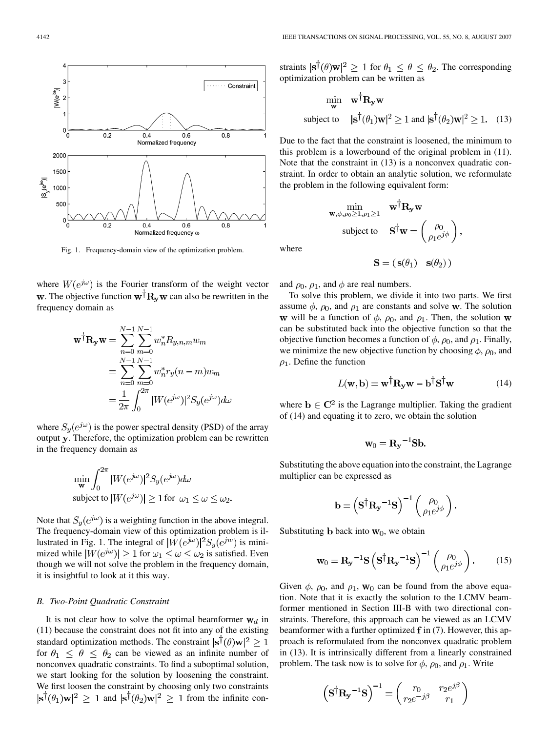

Fig. 1. Frequency-domain view of the optimization problem.

where  $W(e^{j\omega})$  is the Fourier transform of the weight vector w. The objective function  $w^{\dagger}R_{v}w$  can also be rewritten in the frequency domain as

$$
\mathbf{w}^{\dagger} \mathbf{R}_{\mathbf{y}} \mathbf{w} = \sum_{n=0}^{N-1} \sum_{m=0}^{N-1} w_n^* R_{y,n,m} w_m
$$
  
= 
$$
\sum_{n=0}^{N-1} \sum_{m=0}^{N-1} w_n^* r_y (n-m) w_m
$$
  
= 
$$
\frac{1}{2\pi} \int_0^{2\pi} |W(e^{j\omega})|^2 S_y(e^{j\omega}) d\omega
$$

where  $S_y(e^{j\omega})$  is the power spectral density (PSD) of the array output y. Therefore, the optimization problem can be rewritten in the frequency domain as

$$
\min_{\mathbf{w}} \int_0^{2\pi} |W(e^{j\omega})|^2 S_y(e^{j\omega}) d\omega
$$
\nsubject to 
$$
|W(e^{j\omega})| \ge 1
$$
 for  $\omega_1 \le \omega \le \omega_2$ .

Note that  $S_v(e^{j\omega})$  is a weighting function in the above integral. The frequency-domain view of this optimization problem is illustrated in Fig. 1. The integral of  $|W(e^{j\omega})|^2 S_u(e^{jw})$  is minimized while  $|W(e^{j\omega})| \ge 1$  for  $\omega_1 \le \omega \le \omega_2$  is satisfied. Even though we will not solve the problem in the frequency domain, it is insightful to look at it this way.

#### *B. Two-Point Quadratic Constraint*

It is not clear how to solve the optimal beamformer  $w_d$  in (11) because the constraint does not fit into any of the existing standard optimization methods. The constraint  $|\mathbf{s}^\dagger(\theta)\mathbf{w}|^2 \geq 1$ for  $\theta_1 \leq \theta \leq \theta_2$  can be viewed as an infinite number of nonconvex quadratic constraints. To find a suboptimal solution, we start looking for the solution by loosening the constraint. We first loosen the constraint by choosing only two constraints  $|\mathbf{s}^{\dagger}(\theta_1)\mathbf{w}|^2 \geq 1$  and  $|\mathbf{s}^{\dagger}(\theta_2)\mathbf{w}|^2 \geq 1$  from the infinite constraints  $|\mathbf{s}^\dagger(\theta)\mathbf{w}|^2 \geq 1$  for  $\theta_1 \leq \theta \leq \theta_2$ . The corresponding optimization problem can be written as

$$
\begin{aligned}\n\min_{\mathbf{w}} \quad & \mathbf{w}^{\dagger} \mathbf{R}_{\mathbf{y}} \mathbf{w} \\
\text{subject to} \quad & |\mathbf{s}^{\dagger}(\theta_1)\mathbf{w}|^2 \ge 1 \text{ and } |\mathbf{s}^{\dagger}(\theta_2)\mathbf{w}|^2 \ge 1. \quad (13)\n\end{aligned}
$$

Due to the fact that the constraint is loosened, the minimum to this problem is a lowerbound of the original problem in (11). Note that the constraint in (13) is a nonconvex quadratic constraint. In order to obtain an analytic solution, we reformulate the problem in the following equivalent form:

$$
\min_{\mathbf{w}, \phi, \rho_0 \ge 1, \rho_1 \ge 1} \quad \mathbf{w}^\dagger \mathbf{R}_{\mathbf{y}} \mathbf{w}
$$
\n
$$
\text{subject to} \quad \mathbf{S}^\dagger \mathbf{w} = \begin{pmatrix} \rho_0 \\ \rho_1 e^{j\phi} \end{pmatrix}
$$

where

$$
\mathbf{S}=(\ \mathbf{s}(\theta_1) \quad \mathbf{s}(\theta_2)\ )
$$

and  $\rho_0$ ,  $\rho_1$ , and  $\phi$  are real numbers.

To solve this problem, we divide it into two parts. We first assume  $\phi$ ,  $\rho_0$ , and  $\rho_1$  are constants and solve **w**. The solution w will be a function of  $\phi$ ,  $\rho_0$ , and  $\rho_1$ . Then, the solution w can be substituted back into the objective function so that the objective function becomes a function of  $\phi$ ,  $\rho_0$ , and  $\rho_1$ . Finally, we minimize the new objective function by choosing  $\phi$ ,  $\rho_0$ , and  $\rho_1$ . Define the function

$$
L(\mathbf{w}, \mathbf{b}) = \mathbf{w}^{\dagger} \mathbf{R}_{\mathbf{y}} \mathbf{w} - \mathbf{b}^{\dagger} \mathbf{S}^{\dagger} \mathbf{w}
$$
 (14)

where  $\mathbf{b} \in \mathbb{C}^2$  is the Lagrange multiplier. Taking the gradient of (14) and equating it to zero, we obtain the solution

$$
\mathbf{w}_0 = \mathbf{R_y}^{-1} \mathbf{S} \mathbf{b}.
$$

Substituting the above equation into the constraint, the Lagrange multiplier can be expressed as

$$
\mathbf{b} = \left(\mathbf{S}^{\dagger} \mathbf{R}_{\mathbf{y}}^{-1} \mathbf{S}\right)^{-1} \begin{pmatrix} \rho_0 \\ \rho_1 e^{j\phi} \end{pmatrix}
$$

Substituting **b** back into  $w_0$ , we obtain

$$
\mathbf{w}_0 = \mathbf{R}_\mathbf{y}^{-1} \mathbf{S} \left( \mathbf{S}^\dagger \mathbf{R}_\mathbf{y}^{-1} \mathbf{S} \right)^{-1} \begin{pmatrix} \rho_0 \\ \rho_1 e^{j\phi} \end{pmatrix} . \tag{15}
$$

Given  $\phi$ ,  $\rho_0$ , and  $\rho_1$ ,  $\mathbf{w}_0$  can be found from the above equation. Note that it is exactly the solution to the LCMV beamformer mentioned in Section III-B with two directional constraints. Therefore, this approach can be viewed as an LCMV beamformer with a further optimized  $f$  in (7). However, this approach is reformulated from the nonconvex quadratic problem in (13). It is intrinsically different from a linearly constrained problem. The task now is to solve for  $\phi$ ,  $\rho_0$ , and  $\rho_1$ . Write

$$
\left(\mathbf{S}^{\dagger}\mathbf{R}_{\mathbf{y}}^{-1}\mathbf{S}\right)^{-1} = \begin{pmatrix} r_0 & r_2e^{j\beta} \\ r_2e^{-j\beta} & r_1 \end{pmatrix}
$$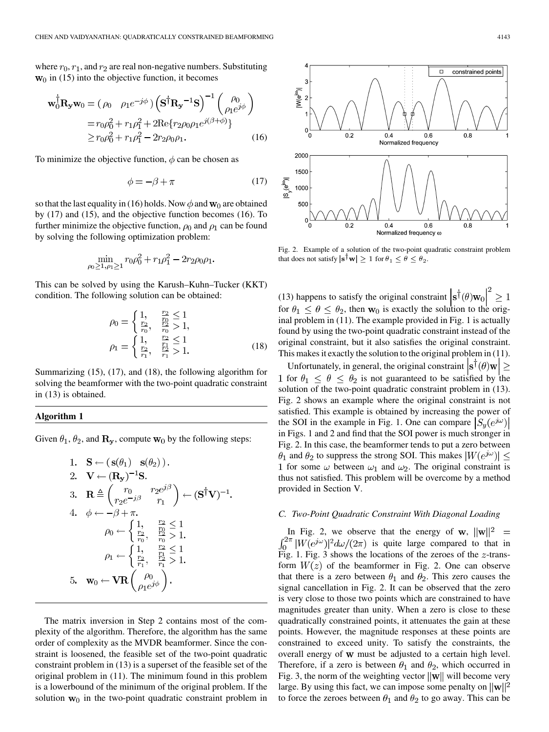where  $r_0, r_1$ , and  $r_2$  are real non-negative numbers. Substituting  $w_0$  in (15) into the objective function, it becomes

$$
\mathbf{w}_0^{\dagger} \mathbf{R}_{\mathbf{y}} \mathbf{w}_0 = (\rho_0 \quad \rho_1 e^{-j\phi}) \left( \mathbf{S}^{\dagger} \mathbf{R}_{\mathbf{y}}^{-1} \mathbf{S} \right)^{-1} \begin{pmatrix} \rho_0 \\ \rho_1 e^{j\phi} \end{pmatrix}
$$
  
=  $r_0 \rho_0^2 + r_1 \rho_1^2 + 2 \text{Re} \{ r_2 \rho_0 \rho_1 e^{j(\beta + \phi)} \}$   
 $\ge r_0 \rho_0^2 + r_1 \rho_1^2 - 2r_2 \rho_0 \rho_1.$  (16)

To minimize the objective function,  $\phi$  can be chosen as

$$
\phi = -\beta + \pi \tag{17}
$$

so that the last equality in (16) holds. Now  $\phi$  and  $\mathbf{w}_0$  are obtained by (17) and (15), and the objective function becomes (16). To further minimize the objective function,  $\rho_0$  and  $\rho_1$  can be found by solving the following optimization problem:

$$
\min_{\rho_0 \ge 1, \rho_1 \ge 1} r_0 \rho_0^2 + r_1 \rho_1^2 - 2r_2 \rho_0 \rho_1.
$$

This can be solved by using the Karush–Kuhn–Tucker (KKT) condition. The following solution can be obtained:

$$
\rho_0 = \begin{cases} 1, & \frac{r_2}{r_2} \le 1 \\ \frac{r_2}{r_0}, & \frac{r_2}{r_0} > 1, \\ 0, & \frac{r_2}{r_1} \le 1 \\ \frac{r_2}{r_1}, & \frac{r_2}{r_1} > 1. \end{cases} \tag{18}
$$

Summarizing (15), (17), and (18), the following algorithm for solving the beamformer with the two-point quadratic constraint in (13) is obtained.

## **Algorithm 1**

Given  $\theta_1$ ,  $\theta_2$ , and  $\mathbf{R}_{\mathbf{v}}$ , compute  $\mathbf{w}_0$  by the following steps:

1. 
$$
\mathbf{S} \leftarrow (\mathbf{s}(\theta_1) \ \mathbf{s}(\theta_2)).
$$
  
\n2. 
$$
\mathbf{V} \leftarrow (\mathbf{R}_{\mathbf{y}})^{-1} \mathbf{S}.
$$
  
\n3. 
$$
\mathbf{R} \triangleq \begin{pmatrix} r_0 & r_2 e^{j\beta} \\ r_2 e^{-j\beta} & r_1 \end{pmatrix} \leftarrow (\mathbf{S}^{\dagger} \mathbf{V})^{-1}.
$$
  
\n4. 
$$
\phi \leftarrow -\beta + \pi.
$$
  
\n
$$
\rho_0 \leftarrow \begin{cases} 1, & \frac{r_2}{r_0} \le 1 \\ \frac{r_2}{r_0}, & \frac{r_2}{r_0} > 1. \end{cases}
$$
  
\n
$$
\rho_1 \leftarrow \begin{cases} 1, & \frac{r_2}{r_0} \le 1 \\ \frac{r_2}{r_1}, & \frac{r_2}{r_1} > 1. \end{cases}
$$
  
\n5. 
$$
\mathbf{w}_0 \leftarrow \mathbf{V} \mathbf{R} \begin{pmatrix} \rho_0 \\ \rho_1 e^{j\phi} \end{pmatrix}.
$$

The matrix inversion in Step 2 contains most of the complexity of the algorithm. Therefore, the algorithm has the same order of complexity as the MVDR beamformer. Since the constraint is loosened, the feasible set of the two-point quadratic constraint problem in (13) is a superset of the feasible set of the original problem in (11). The minimum found in this problem is a lowerbound of the minimum of the original problem. If the solution  $w_0$  in the two-point quadratic constraint problem in



Fig. 2. Example of a solution of the two-point quadratic constraint problem that does not satisfy  $|\mathbf{s}^{\dagger} \mathbf{w}| \geq 1$  for  $\theta_1 \leq \theta \leq \theta_2$ .

(13) happens to satisfy the original constraint  $|\mathbf{s}^{\dagger}(\theta)\mathbf{w}_0|^2 \geq 1$ for  $\theta_1 \le \theta \le \theta_2$ , then  $w_0$  is exactly the solution to the original problem in (11). The example provided in Fig. 1 is actually found by using the two-point quadratic constraint instead of the original constraint, but it also satisfies the original constraint. This makes it exactly the solution to the original problem in (11).

Unfortunately, in general, the original constraint  $|\mathbf{s}^\dagger(\theta)\mathbf{w}| \geq$ 1 for  $\theta_1 \leq \theta \leq \theta_2$  is not guaranteed to be satisfied by the solution of the two-point quadratic constraint problem in (13). Fig. 2 shows an example where the original constraint is not satisfied. This example is obtained by increasing the power of the SOI in the example in Fig. 1. One can compare  $|S_u(e^{j\omega})|$ in Figs. 1 and 2 and find that the SOI power is much stronger in Fig. 2. In this case, the beamformer tends to put a zero between  $\theta_1$  and  $\theta_2$  to suppress the strong SOI. This makes  $|W(e^{j\omega})| \leq$ 1 for some  $\omega$  between  $\omega_1$  and  $\omega_2$ . The original constraint is thus not satisfied. This problem will be overcome by a method provided in Section V.

### *C. Two-Point Quadratic Constraint With Diagonal Loading*

In Fig. 2, we observe that the energy of w,  $||\mathbf{w}||^2$  =  $\int_0^{2\pi} |W(e^{j\omega})|^2 d\omega/(2\pi)$  is quite large compared to that in Fig. 1. Fig. 3 shows the locations of the zeroes of the  $z$ -transform  $W(z)$  of the beamformer in Fig. 2. One can observe that there is a zero between  $\theta_1$  and  $\theta_2$ . This zero causes the signal cancellation in Fig. 2. It can be observed that the zero is very close to those two points which are constrained to have magnitudes greater than unity. When a zero is close to these quadratically constrained points, it attenuates the gain at these points. However, the magnitude responses at these points are constrained to exceed unity. To satisfy the constraints, the overall energy of w must be adjusted to a certain high level. Therefore, if a zero is between  $\theta_1$  and  $\theta_2$ , which occurred in Fig. 3, the norm of the weighting vector  $\|\mathbf{w}\|$  will become very large. By using this fact, we can impose some penalty on  $||\mathbf{w}||^2$ to force the zeroes between  $\theta_1$  and  $\theta_2$  to go away. This can be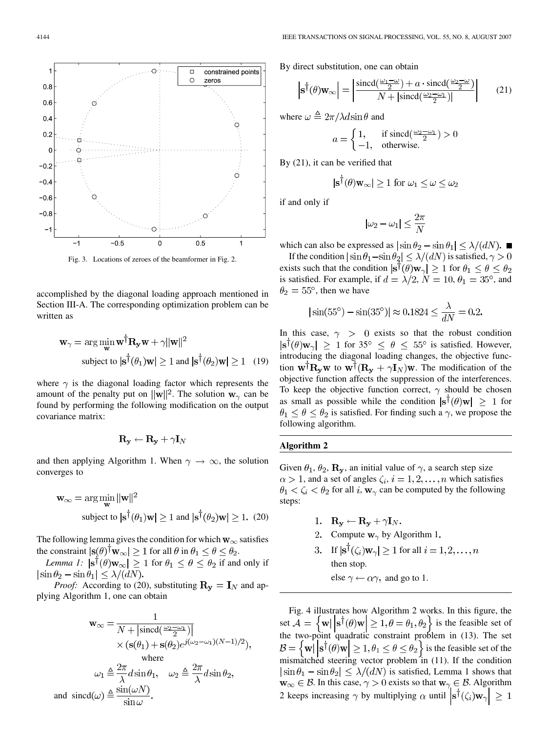

Fig. 3. Locations of zeroes of the beamformer in Fig. 2.

accomplished by the diagonal loading approach mentioned in Section III-A. The corresponding optimization problem can be written as

$$
\mathbf{w}_{\gamma} = \arg\min_{\mathbf{w}} \mathbf{w}^{\dagger} \mathbf{R}_{\mathbf{y}} \mathbf{w} + \gamma ||\mathbf{w}||^2
$$
  
subject to  $|\mathbf{s}^{\dagger}(\theta_1)\mathbf{w}| \ge 1$  and  $|\mathbf{s}^{\dagger}(\theta_2)\mathbf{w}| \ge 1$  (19)

where  $\gamma$  is the diagonal loading factor which represents the amount of the penalty put on  $||\mathbf{w}||^2$ . The solution  $\mathbf{w}_\gamma$  can be found by performing the following modification on the output covariance matrix:

$$
\mathbf{R_y} \leftarrow \mathbf{R_y} + \gamma \mathbf{I}_N
$$

and then applying Algorithm 1. When  $\gamma \to \infty$ , the solution converges to

$$
\mathbf{w}_{\infty} = \arg\min_{\mathbf{w}} ||\mathbf{w}||^2
$$
  
subject to  $|\mathbf{s}^\dagger(\theta_1)\mathbf{w}| \ge 1$  and  $|\mathbf{s}^\dagger(\theta_2)\mathbf{w}| \ge 1$ . (20)

The following lemma gives the condition for which  $w_{\infty}$  satisfies the constraint  $|\mathbf{s}(\theta)^{\dagger} \mathbf{w}_{\infty}| \geq 1$  for all  $\theta$  in  $\theta_1 \leq \theta \leq \theta_2$ .

*Lemma 1:*  $|\mathbf{s}^{\dagger}(\theta)\mathbf{w}_{\infty}| \geq 1$  for  $\theta_1 \leq \theta \leq \theta_2$  if and only if  $|\sin \theta_2 - \sin \theta_1| \leq \lambda/(dN).$ 

*Proof:* According to (20), substituting  $\mathbf{R}_{y} = \mathbf{I}_{N}$  and applying Algorithm 1, one can obtain

$$
\mathbf{w}_{\infty} = \frac{1}{N + |\text{sincd}(\frac{\omega_2 - \omega_1}{2})|}
$$

$$
\times (\mathbf{s}(\theta_1) + \mathbf{s}(\theta_2)e^{j(\omega_2 - \omega_1)(N-1)/2}),
$$
where
$$
\omega_1 \triangleq \frac{2\pi}{\lambda}d\sin\theta_1, \quad \omega_2 \triangleq \frac{2\pi}{\lambda}d\sin\theta_2,
$$
and 
$$
\text{sincd}(\omega) \triangleq \frac{\sin(\omega N)}{\sin\omega}.
$$

By direct substitution, one can obtain

$$
\left| \mathbf{s}^{\dagger}(\theta)\mathbf{w}_{\infty} \right| = \left| \frac{\text{sincd}(\frac{\omega_1 - \omega}{2}) + a \cdot \text{sincd}(\frac{\omega_2 - \omega}{2})}{N + |\text{sincd}(\frac{\omega_2 - \omega}{2})|} \right| \tag{21}
$$

where  $\omega \triangleq 2\pi/\lambda d \sin \theta$  and

$$
a = \begin{cases} 1, & \text{if } \text{sincd}(\frac{\omega_2 - \omega_1}{2}) > 0 \\ -1, & \text{otherwise.} \end{cases}
$$

By (21), it can be verified that

$$
|\mathbf{s}^{\mathsf{T}}(\theta)\mathbf{w}_{\infty}| \ge 1 \text{ for } \omega_1 \le \omega \le \omega_2
$$

if and only if

$$
|\omega_2 - \omega_1| \le \frac{2\pi}{N}
$$

which can also be expressed as  $|\sin \theta_2 - \sin \theta_1| \leq \lambda/(dN)$ . If the condition  $|\sin \theta_1 - \sin \theta_2| \leq \lambda/(dN)$  is satisfied,  $\gamma > 0$ 

exists such that the condition  $|\mathbf{s}^{\dagger}(\theta)\mathbf{w}_{\gamma}| \geq 1$  for  $\theta_1 \leq \theta \leq \theta_2$ is satisfied. For example, if  $d = \lambda/2$ ,  $N = 10$ ,  $\theta_1 = 35^{\circ}$ , and  $\theta_2 = 55^{\circ}$ , then we have

$$
|\sin(55^\circ) - \sin(35^\circ)| \approx 0.1824 \le \frac{\lambda}{dN} = 0.2
$$

In this case,  $\gamma > 0$  exists so that the robust condition  $|\mathbf{s}^{\dagger}(\theta)\mathbf{w}_{\gamma}| \geq 1$  for 35°  $\leq \theta \leq 55^{\circ}$  is satisfied. However, introducing the diagonal loading changes, the objective function  $\mathbf{w}^\dagger \mathbf{R}_{\mathbf{y}} \mathbf{w}$  to  $\mathbf{w}^\dagger (\mathbf{R}_{\mathbf{y}} + \gamma \mathbf{I}_N) \mathbf{w}$ . The modification of the objective function affects the suppression of the interferences. To keep the objective function correct,  $\gamma$  should be chosen as small as possible while the condition  $|\mathbf{s}^{\dagger}(\theta)\mathbf{w}| \geq 1$  for  $\theta_1 \le \theta \le \theta_2$  is satisfied. For finding such a  $\gamma$ , we propose the following algorithm.

# **Algorithm 2**

Given  $\theta_1$ ,  $\theta_2$ ,  $\mathbf{R}_{\mathbf{y}}$ , an initial value of  $\gamma$ , a search step size  $\alpha > 1$ , and a set of angles  $\zeta_i$ ,  $i = 1, 2, \dots, n$  which satisfies  $\theta_1 < \zeta_i < \theta_2$  for all i,  $w_\gamma$  can be computed by the following steps:

- 1.  $\mathbf{R}_{\mathbf{v}} \leftarrow \mathbf{R}_{\mathbf{v}} + \gamma \mathbf{I}_N$ .
- 2. Compute  $\mathbf{w}_{\gamma}$  by Algorithm 1.
- 3. If  $|\mathbf{s}^{\dagger}(\zeta_i)\mathbf{w}_{\gamma}| \geq 1$  for all  $i = 1, 2, ..., n$ then stop. else  $\gamma \leftarrow \alpha \gamma$ , and go to 1.

Fig. 4 illustrates how Algorithm 2 works. In this figure, the set  $\mathcal{A} = \{ \mathbf{w} \mid \mathbf{s}^{\dagger}(\theta) \mathbf{w} \mid \geq 1, \theta = \theta_1, \theta_2 \}$  is the feasible set of the two-point quadratic constraint problem in (13). The set  $\mathcal{B} = \left\{ \mathbf{w} \middle| \left| \mathbf{s}^{\dagger}(\theta) \mathbf{w} \right| \geq 1, \theta_1 \leq \theta \leq \theta_2 \right\}$  is the feasible set of the mismatched steering vector problem in (11). If the condition  $|\sin \theta_1 - \sin \theta_2| \leq \lambda/(dN)$  is satisfied, Lemma 1 shows that  $\mathbf{w}_{\infty} \in \mathcal{B}$ . In this case,  $\gamma > 0$  exists so that  $\mathbf{w}_{\gamma} \in \mathcal{B}$ . Algorithm 2 keeps increasing  $\gamma$  by multiplying  $\alpha$  until  $|\mathbf{s}^{\dagger}(\zeta_i)\mathbf{w}_{\gamma}| \geq 1$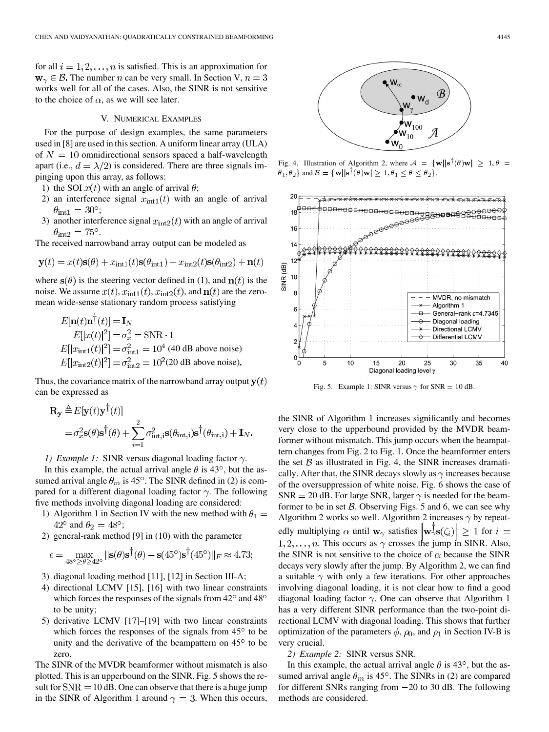for all  $i = 1, 2, ..., n$  is satisfied. This is an approximation for  $\mathbf{w}_{\gamma} \in \mathcal{B}$ . The number *n* can be very small. In Section V,  $n = 3$ works well for all of the cases. Also, the SINR is not sensitive to the choice of  $\alpha$ , as we will see later.

### V. NUMERICAL EXAMPLES

For the purpose of design examples, the same parameters used in [8] are used in this section. A uniform linear array (ULA) of  $N = 10$  omnidirectional sensors spaced a half-wavelength apart (i.e.,  $d = \lambda/2$ ) is considered. There are three signals impinging upon this array, as follows:

- 1) the SOI  $x(t)$  with an angle of arrival  $\theta$ ;
- 2) an interference signal  $x_{\text{int1}}(t)$  with an angle of arrival  $\theta_{\rm int1} = 30^{\circ};$
- 3) another interference signal  $x_{\text{int2}}(t)$  with an angle of arrival  $\theta_{\rm int2} = 75^{\circ}$ .

The received narrowband array output can be modeled as

$$
\mathbf{y}(t) = x(t)\mathbf{s}(\theta) + x_{\text{int1}}(t)\mathbf{s}(\theta_{\text{int1}}) + x_{\text{int2}}(t)\mathbf{s}(\theta_{\text{int2}}) + \mathbf{n}(t)
$$

where  $s(\theta)$  is the steering vector defined in (1), and  $n(t)$  is the noise. We assume  $x(t)$ ,  $x_{\text{int1}}(t)$ ,  $x_{\text{int2}}(t)$ , and  $n(t)$  are the zeromean wide-sense stationary random process satisfying

$$
E[\mathbf{n}(t)\mathbf{n}^{\dagger}(t)] = \mathbf{I}_N
$$
  
\n
$$
E[|x(t)|^2] = \sigma_x^2 = \text{SNR} \cdot 1
$$
  
\n
$$
E[|x_{\text{int1}}(t)|^2] = \sigma_{\text{int1}}^2 = 10^4 \text{ (40 dB above noise)}
$$
  
\n
$$
E[|x_{\text{int2}}(t)|^2] = \sigma_{\text{int2}}^2 = 10^2 \text{ (20 dB above noise)}
$$

Thus, the covariance matrix of the narrowband array output  $y(t)$ can be expressed as

$$
\mathbf{R}_{\mathbf{y}} \triangleq E[\mathbf{y}(t)\mathbf{y}^{\dagger}(t)]
$$
  
=  $\sigma_x^2 \mathbf{s}(\theta) \mathbf{s}^{\dagger}(\theta) + \sum_{i=1}^2 \sigma_{\text{int},i}^2 \mathbf{s}(\theta_{\text{int},i}) \mathbf{s}^{\dagger}(\theta_{\text{int},i}) + \mathbf{I}_N.$ 

*1) Example 1:* SINR versus diagonal loading factor  $\gamma$ .

In this example, the actual arrival angle  $\theta$  is 43<sup>o</sup>, but the assumed arrival angle  $\theta_m$  is 45°. The SINR defined in (2) is compared for a different diagonal loading factor  $\gamma$ . The following five methods involving diagonal loading are considered:

- 1) Algorithm 1 in Section IV with the new method with  $\theta_1 =$ 42° and  $\theta_2 = 48^\circ$ ;
- 2) general-rank method [9] in (10) with the parameter

$$
\epsilon = \max_{48^\circ \ge \theta \ge 42^\circ} ||\mathbf{s}(\theta)\mathbf{s}^\dagger(\theta) - \mathbf{s}(45^\circ)\mathbf{s}^\dagger(45^\circ)||_F \approx 4.73;
$$

- 3) diagonal loading method [11], [12] in Section III-A;
- 4) directional LCMV [15], [16] with two linear constraints which forces the responses of the signals from  $42^{\circ}$  and  $48^{\circ}$ to be unity;
- 5) derivative LCMV [17]–[19] with two linear constraints which forces the responses of the signals from  $45^{\circ}$  to be unity and the derivative of the beampattern on  $45^{\circ}$  to be zero.

The SINR of the MVDR beamformer without mismatch is also plotted. This is an upperbound on the SINR. Fig. 5 shows the result for  $SNR = 10$  dB. One can observe that there is a huge jump in the SINR of Algorithm 1 around  $\gamma = 3$ . When this occurs,



Fig. 4. Illustration of Algorithm 2, where  $A = \{w \mid |s^{\dagger}(\theta)w| \geq 1, \theta =$  $\{\theta_1, \theta_2\}$  and  $\mathcal{B} = {\mathbf{w}} \|\mathbf{s}^\dagger(\theta)\mathbf{w}\| \geq 1, \theta_1 \leq \theta \leq \theta_2\}.$ 



Fig. 5. Example 1: SINR versus  $\gamma$  for SNR = 10 dB.

the SINR of Algorithm 1 increases significantly and becomes very close to the upperbound provided by the MVDR beamformer without mismatch. This jump occurs when the beampattern changes from Fig. 2 to Fig. 1. Once the beamformer enters the set  $\beta$  as illustrated in Fig. 4, the SINR increases dramatically. After that, the SINR decays slowly as  $\gamma$  increases because of the oversuppression of white noise. Fig. 6 shows the case of SNR = 20 dB. For large SNR, larger  $\gamma$  is needed for the beamformer to be in set  $\beta$ . Observing Figs. 5 and 6, we can see why Algorithm 2 works so well. Algorithm 2 increases  $\gamma$  by repeatedly multiplying  $\alpha$  until  $\mathbf{w}_{\gamma}$  satisfies  $|\mathbf{w}_{\gamma}^{\dagger} \mathbf{s}(\zeta_i)| \geq 1$  for  $i =$  $1, 2, \ldots, n$ . This occurs as  $\gamma$  crosses the jump in SINR. Also, the SINR is not sensitive to the choice of  $\alpha$  because the SINR decays very slowly after the jump. By Algorithm 2, we can find a suitable  $\gamma$  with only a few iterations. For other approaches involving diagonal loading, it is not clear how to find a good diagonal loading factor  $\gamma$ . One can observe that Algorithm 1 has a very different SINR performance than the two-point directional LCMV with diagonal loading. This shows that further optimization of the parameters  $\phi$ ,  $\rho_0$ , and  $\rho_1$  in Section IV-B is very crucial.

*2) Example 2:* SINR versus SNR.

In this example, the actual arrival angle  $\theta$  is 43°, but the assumed arrival angle  $\theta_m$  is 45°. The SINRs in (2) are compared for different SNRs ranging from 20 to 30 dB. The following methods are considered.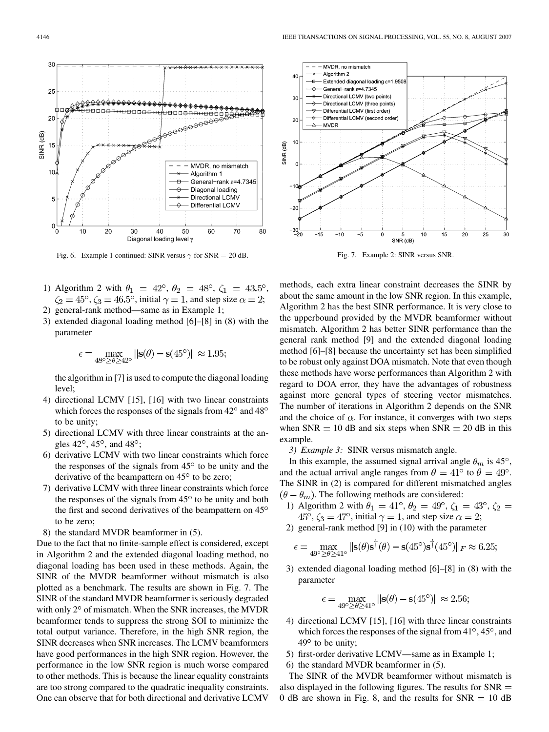

Fig. 6. Example 1 continued: SINR versus  $\gamma$  for SNR = 20 dB.

- 1) Algorithm 2 with  $\theta_1 = 42^{\circ}, \theta_2 = 48^{\circ}, \zeta_1 = 43.5^{\circ}$ ,  $\zeta_2 = 45^\circ$ ,  $\zeta_3 = 46.5^\circ$ , initial  $\gamma = 1$ , and step size  $\alpha = 2$ ;
- 2) general-rank method—same as in Example 1;
- 3) extended diagonal loading method [6]–[8] in (8) with the parameter

$$
\epsilon = \max_{48^\circ \ge \theta \ge 42^\circ} ||\mathbf{s}(\theta) - \mathbf{s}(45^\circ)|| \approx 1.95;
$$

the algorithm in [7] is used to compute the diagonal loading level;

- 4) directional LCMV [15], [16] with two linear constraints which forces the responses of the signals from  $42^{\circ}$  and  $48^{\circ}$ to be unity;
- 5) directional LCMV with three linear constraints at the angles  $42^{\circ}$ ,  $45^{\circ}$ , and  $48^{\circ}$ ;
- 6) derivative LCMV with two linear constraints which force the responses of the signals from  $45^{\circ}$  to be unity and the derivative of the beampattern on  $45^{\circ}$  to be zero;
- 7) derivative LCMV with three linear constraints which force the responses of the signals from  $45^{\circ}$  to be unity and both the first and second derivatives of the beampattern on 45 to be zero;
- 8) the standard MVDR beamformer in (5).

Due to the fact that no finite-sample effect is considered, except in Algorithm 2 and the extended diagonal loading method, no diagonal loading has been used in these methods. Again, the SINR of the MVDR beamformer without mismatch is also plotted as a benchmark. The results are shown in Fig. 7. The SINR of the standard MVDR beamformer is seriously degraded with only  $2^{\circ}$  of mismatch. When the SNR increases, the MVDR beamformer tends to suppress the strong SOI to minimize the total output variance. Therefore, in the high SNR region, the SINR decreases when SNR increases. The LCMV beamformers have good performances in the high SNR region. However, the performance in the low SNR region is much worse compared to other methods. This is because the linear equality constraints are too strong compared to the quadratic inequality constraints. One can observe that for both directional and derivative LCMV



Fig. 7. Example 2: SINR versus SNR.

methods, each extra linear constraint decreases the SINR by about the same amount in the low SNR region. In this example, Algorithm 2 has the best SINR performance. It is very close to the upperbound provided by the MVDR beamformer without mismatch. Algorithm 2 has better SINR performance than the general rank method [9] and the extended diagonal loading method [6]–[8] because the uncertainty set has been simplified to be robust only against DOA mismatch. Note that even though these methods have worse performances than Algorithm 2 with regard to DOA error, they have the advantages of robustness against more general types of steering vector mismatches. The number of iterations in Algorithm 2 depends on the SNR and the choice of  $\alpha$ . For instance, it converges with two steps when  $SNR = 10$  dB and six steps when  $SNR = 20$  dB in this example.

*3) Example 3:* SINR versus mismatch angle.

In this example, the assumed signal arrival angle  $\theta_m$  is 45°, and the actual arrival angle ranges from  $\theta = 41^{\circ}$  to  $\theta = 49^{\circ}$ . The SINR in (2) is compared for different mismatched angles  $(\theta - \theta_m)$ . The following methods are considered:

- 1) Algorithm 2 with  $\theta_1 = 41^{\circ}$ ,  $\theta_2 = 49^{\circ}$ ,  $\zeta_1 = 43^{\circ}$ ,  $\zeta_2 =$  $45^{\circ}$ ,  $\zeta_3 = 47^{\circ}$ , initial  $\gamma = 1$ , and step size  $\alpha = 2$ ;
- 2) general-rank method [9] in (10) with the parameter

$$
\epsilon = \max_{49^\circ \ge \theta \ge 41^\circ} ||\mathbf{s}(\theta)\mathbf{s}^\dagger(\theta) - \mathbf{s}(45^\circ)\mathbf{s}^\dagger(45^\circ)||_F \approx 6.25;
$$

3) extended diagonal loading method [6]–[8] in (8) with the parameter

$$
\epsilon = \max_{49^\circ \ge \theta \ge 41^\circ} ||\mathbf{s}(\theta) - \mathbf{s}(45^\circ)|| \approx 2.56;
$$

- 4) directional LCMV [15], [16] with three linear constraints which forces the responses of the signal from  $41^\circ$ ,  $45^\circ$ , and  $49^\circ$  to be unity;
- 5) first-order derivative LCMV—same as in Example 1;
- 6) the standard MVDR beamformer in (5).

The SINR of the MVDR beamformer without mismatch is also displayed in the following figures. The results for  $SNR =$ 0 dB are shown in Fig. 8, and the results for  $SNR = 10$  dB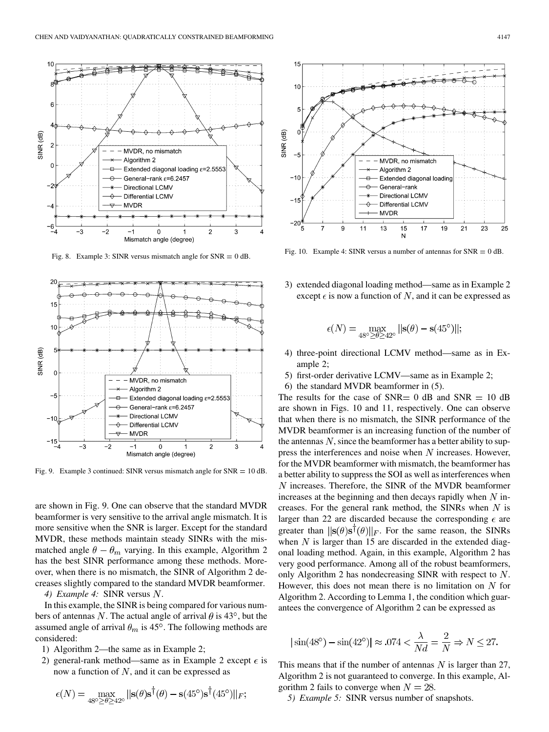

Fig. 8. Example 3: SINR versus mismatch angle for  $SNR = 0$  dB.



Fig. 9. Example 3 continued: SINR versus mismatch angle for SNR <sup>=</sup> 10 dB.

are shown in Fig. 9. One can observe that the standard MVDR beamformer is very sensitive to the arrival angle mismatch. It is more sensitive when the SNR is larger. Except for the standard MVDR, these methods maintain steady SINRs with the mismatched angle  $\theta - \theta_m$  varying. In this example, Algorithm 2 has the best SINR performance among these methods. Moreover, when there is no mismatch, the SINR of Algorithm 2 decreases slightly compared to the standard MVDR beamformer.

4) Example 4: SINR versus N.

In this example, the SINR is being compared for various numbers of antennas N. The actual angle of arrival  $\theta$  is 43°, but the assumed angle of arrival  $\theta_m$  is 45°. The following methods are considered:

- 1) Algorithm 2—the same as in Example 2;
- 2) general-rank method—same as in Example 2 except  $\epsilon$  is now a function of  $N$ , and it can be expressed as

$$
\epsilon(N) = \max_{48^\circ \ge \theta \ge 42^\circ} ||\mathbf{s}(\theta)\mathbf{s}^\dagger(\theta) - \mathbf{s}(45^\circ)\mathbf{s}^\dagger(45^\circ)||_F;
$$



Fig. 10. Example 4: SINR versus a number of antennas for  $SNR = 0$  dB.

3) extended diagonal loading method—same as in Example 2 except  $\epsilon$  is now a function of N, and it can be expressed as

$$
\epsilon(N) = \max_{48^\circ \ge \theta \ge 42^\circ} ||\mathbf{s}(\theta) - \mathbf{s}(45^\circ)||
$$

- 4) three-point directional LCMV method—same as in Example 2;
- 5) first-order derivative LCMV—same as in Example 2;
- 6) the standard MVDR beamformer in (5).

The results for the case of SNR  $= 0$  dB and SNR  $= 10$  dB are shown in Figs. 10 and 11, respectively. One can observe that when there is no mismatch, the SINR performance of the MVDR beamformer is an increasing function of the number of the antennas  $N$ , since the beamformer has a better ability to suppress the interferences and noise when  $N$  increases. However, for the MVDR beamformer with mismatch, the beamformer has a better ability to suppress the SOI as well as interferences when  $N$  increases. Therefore, the SINR of the MVDR beamformer increases at the beginning and then decays rapidly when  $N$  increases. For the general rank method, the SINRs when  $N$  is larger than 22 are discarded because the corresponding  $\epsilon$  are greater than  $\|\mathbf{s}(\theta)\mathbf{s}^{\dagger}(\theta)\|_F$ . For the same reason, the SINRs when  $N$  is larger than 15 are discarded in the extended diagonal loading method. Again, in this example, Algorithm 2 has very good performance. Among all of the robust beamformers, only Algorithm 2 has nondecreasing SINR with respect to  $N$ . However, this does not mean there is no limitation on  $N$  for Algorithm 2. According to Lemma 1, the condition which guarantees the convergence of Algorithm 2 can be expressed as

$$
|\sin(48^\circ) - \sin(42^\circ)| \approx .074 < \frac{\lambda}{Nd} = \frac{2}{N} \Rightarrow N \le 27.
$$

This means that if the number of antennas  $N$  is larger than 27, Algorithm 2 is not guaranteed to converge. In this example, Algorithm 2 fails to converge when  $N = 28$ .

*5) Example 5:* SINR versus number of snapshots.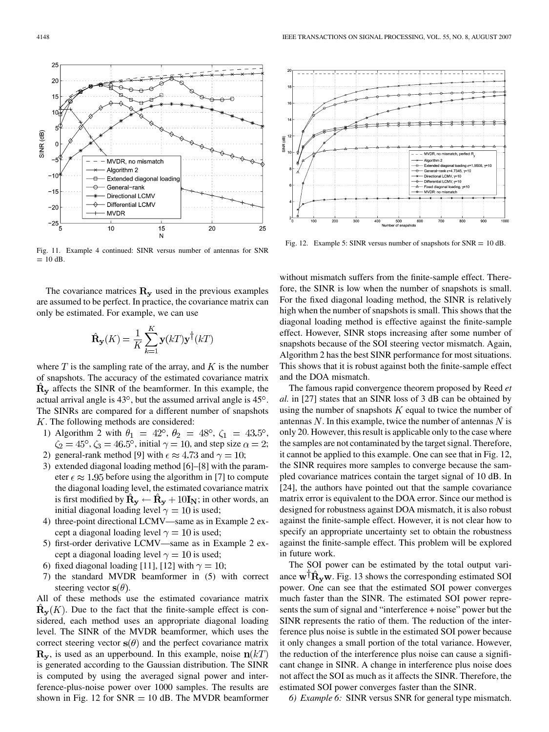Fig. 11. Example 4 continued: SINR versus number of antennas for SNR  $= 10$  dB.

The covariance matrices  $\mathbf{R}_{v}$  used in the previous examples are assumed to be perfect. In practice, the covariance matrix can only be estimated. For example, we can use

$$
\hat{\mathbf{R}}_{\mathbf{y}}(K) = \frac{1}{K} \sum_{k=1}^{K} \mathbf{y}(k) \mathbf{y}^{\dagger}(k)
$$

where  $T$  is the sampling rate of the array, and  $K$  is the number of snapshots. The accuracy of the estimated covariance matrix  $\hat{R}_{v}$  affects the SINR of the beamformer. In this example, the actual arrival angle is  $43^\circ$ , but the assumed arrival angle is  $45^\circ$ . The SINRs are compared for a different number of snapshots . The following methods are considered:

- 1) Algorithm 2 with  $\theta_1 = 42^{\circ}, \theta_2 = 48^{\circ}, \zeta_1 = 43.5^{\circ}$ ,  $\zeta_2 = 45^\circ$ ,  $\zeta_3 = 46.5^\circ$ , initial  $\gamma = 10$ , and step size  $\alpha = 2$ ; 2) general-rank method [9] with  $\epsilon \approx 4.73$  and  $\gamma = 10$ ;
- 3) extended diagonal loading method [6]–[8] with the param-
- eter  $\epsilon \approx 1.95$  before using the algorithm in [7] to compute the diagonal loading level, the estimated covariance matrix is first modified by  $\mathbf{R}_{\mathbf{v}} \leftarrow \mathbf{R}_{\mathbf{v}} + 10\mathbf{I}_{\mathbf{N}}$ ; in other words, an initial diagonal loading level  $\gamma = 10$  is used;
- 4) three-point directional LCMV—same as in Example 2 except a diagonal loading level  $\gamma = 10$  is used;
- 5) first-order derivative LCMV—same as in Example 2 except a diagonal loading level  $\gamma = 10$  is used;
- 6) fixed diagonal loading [11], [12] with  $\gamma = 10$ ;
- 7) the standard MVDR beamformer in (5) with correct steering vector  $s(\theta)$ .

All of these methods use the estimated covariance matrix  $\mathbf{R}_{\mathbf{v}}(K)$ . Due to the fact that the finite-sample effect is considered, each method uses an appropriate diagonal loading level. The SINR of the MVDR beamformer, which uses the correct steering vector  $s(\theta)$  and the perfect covariance matrix  $\mathbf{R}_{v}$ , is used as an upperbound. In this example, noise  $\mathbf{n}(kT)$ is generated according to the Gaussian distribution. The SINR is computed by using the averaged signal power and interference-plus-noise power over 1000 samples. The results are shown in Fig. 12 for  $SNR = 10$  dB. The MVDR beamformer

without mismatch suffers from the finite-sample effect. Therefore, the SINR is low when the number of snapshots is small. For the fixed diagonal loading method, the SINR is relatively high when the number of snapshots is small. This shows that the diagonal loading method is effective against the finite-sample effect. However, SINR stops increasing after some number of snapshots because of the SOI steering vector mismatch. Again, Algorithm 2 has the best SINR performance for most situations. This shows that it is robust against both the finite-sample effect and the DOA mismatch.

Fig. 12. Example 5: SINR versus number of snapshots for  $SNR = 10$  dB.

The famous rapid convergence theorem proposed by Reed *et al.* in [27] states that an SINR loss of 3 dB can be obtained by using the number of snapshots  $K$  equal to twice the number of antennas  $N$ . In this example, twice the number of antennas  $N$  is only 20. However, this result is applicable only to the case where the samples are not contaminated by the target signal. Therefore, it cannot be applied to this example. One can see that in Fig. 12, the SINR requires more samples to converge because the sampled covariance matrices contain the target signal of 10 dB. In [24], the authors have pointed out that the sample covariance matrix error is equivalent to the DOA error. Since our method is designed for robustness against DOA mismatch, it is also robust against the finite-sample effect. However, it is not clear how to specify an appropriate uncertainty set to obtain the robustness against the finite-sample effect. This problem will be explored in future work.

The SOI power can be estimated by the total output variance  $\mathbf{w}^{\mathsf{T}}\mathbf{R}_{\mathbf{v}}\mathbf{w}$ . Fig. 13 shows the corresponding estimated SOI power. One can see that the estimated SOI power converges much faster than the SINR. The estimated SOI power represents the sum of signal and "interference + noise" power but the SINR represents the ratio of them. The reduction of the interference plus noise is subtle in the estimated SOI power because it only changes a small portion of the total variance. However, the reduction of the interference plus noise can cause a significant change in SINR. A change in interference plus noise does not affect the SOI as much as it affects the SINR. Therefore, the estimated SOI power converges faster than the SINR.

*6) Example 6:* SINR versus SNR for general type mismatch.



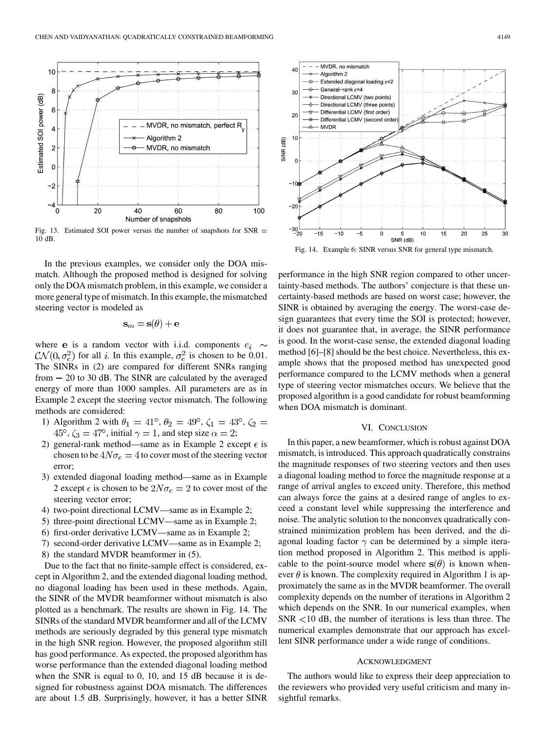

Fig. 13. Estimated SOI power versus the number of snapshots for  $SNR =$ 10 dB.

In the previous examples, we consider only the DOA mismatch. Although the proposed method is designed for solving only the DOA mismatch problem, in this example, we consider a more general type of mismatch. In this example, the mismatched steering vector is modeled as

$$
\mathbf{s}_m = \mathbf{s}(\theta) + \boldsymbol{\epsilon}
$$

where e is a random vector with i.i.d. components  $e_i \sim$  $\mathcal{CN}(0, \sigma_e^2)$  for all i. In this example,  $\sigma_e^2$  is chosen to be 0.01. The SINRs in (2) are compared for different SNRs ranging from  $-20$  to 30 dB. The SINR are calculated by the averaged energy of more than 1000 samples. All parameters are as in Example 2 except the steering vector mismatch. The following methods are considered:

- 1) Algorithm 2 with  $\theta_1 = 41^{\circ}$ ,  $\theta_2 = 49^{\circ}$ ,  $\zeta_1 = 43^{\circ}$ ,  $\zeta_2 =$  $45^{\circ}$ ,  $\zeta_3 = 47^{\circ}$ , initial  $\gamma = 1$ , and step size  $\alpha = 2$ ;
- 2) general-rank method—same as in Example 2 except  $\epsilon$  is chosen to be  $4N\sigma_e = 4$  to cover most of the steering vector error;
- 3) extended diagonal loading method—same as in Example 2 except  $\epsilon$  is chosen to be  $2N\sigma_e = 2$  to cover most of the steering vector error;
- 4) two-point directional LCMV—same as in Example 2;
- 5) three-point directional LCMV—same as in Example 2;
- 6) first-order derivative LCMV—same as in Example 2;
- 7) second-order derivative LCMV—same as in Example 2;
- 8) the standard MVDR beamformer in (5).

Due to the fact that no finite-sample effect is considered, except in Algorithm 2, and the extended diagonal loading method, no diagonal loading has been used in these methods. Again, the SINR of the MVDR beamformer without mismatch is also plotted as a benchmark. The results are shown in Fig. 14. The SINRs of the standard MVDR beamformer and all of the LCMV methods are seriously degraded by this general type mismatch in the high SNR region. However, the proposed algorithm still has good performance. As expected, the proposed algorithm has worse performance than the extended diagonal loading method when the SNR is equal to 0, 10, and 15 dB because it is designed for robustness against DOA mismatch. The differences are about 1.5 dB. Surprisingly, however, it has a better SINR



Fig. 14. Example 6: SINR versus SNR for general type mismatch.

performance in the high SNR region compared to other uncertainty-based methods. The authors' conjecture is that these uncertainty-based methods are based on worst case; however, the SINR is obtained by averaging the energy. The worst-case design guarantees that every time the SOI is protected; however, it does not guarantee that, in average, the SINR performance is good. In the worst-case sense, the extended diagonal loading method [6]–[8] should be the best choice. Nevertheless, this example shows that the proposed method has unexpected good performance compared to the LCMV methods when a general type of steering vector mismatches occurs. We believe that the proposed algorithm is a good candidate for robust beamforming when DOA mismatch is dominant.

## VI. CONCLUSION

In this paper, a new beamformer, which is robust against DOA mismatch, is introduced. This approach quadratically constrains the magnitude responses of two steering vectors and then uses a diagonal loading method to force the magnitude response at a range of arrival angles to exceed unity. Therefore, this method can always force the gains at a desired range of angles to exceed a constant level while suppressing the interference and noise. The analytic solution to the nonconvex quadratically constrained minimization problem has been derived, and the diagonal loading factor  $\gamma$  can be determined by a simple iteration method proposed in Algorithm 2. This method is applicable to the point-source model where  $s(\theta)$  is known whenever  $\theta$  is known. The complexity required in Algorithm 1 is approximately the same as in the MVDR beamformer. The overall complexity depends on the number of iterations in Algorithm 2 which depends on the SNR. In our numerical examples, when  $SNR < 10$  dB, the number of iterations is less than three. The numerical examples demonstrate that our approach has excellent SINR performance under a wide range of conditions.

## ACKNOWLEDGMENT

The authors would like to express their deep appreciation to the reviewers who provided very useful criticism and many insightful remarks.